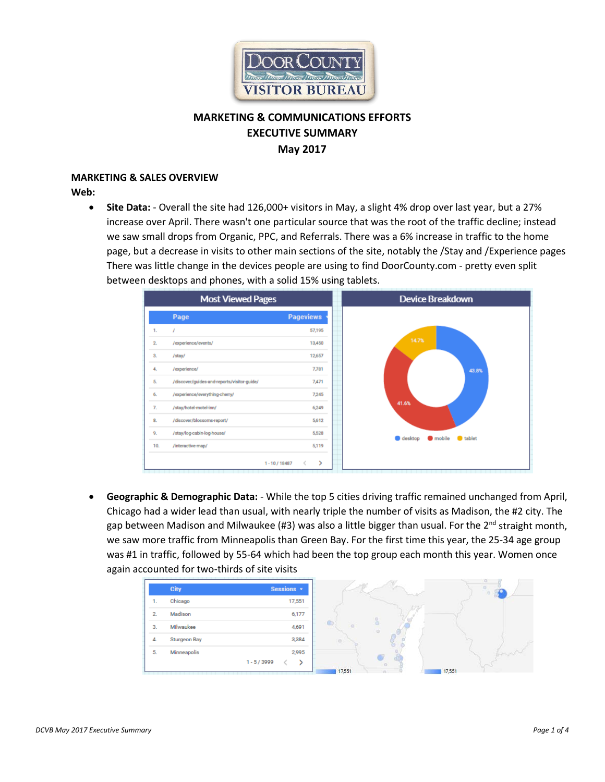

# **MARKETING & COMMUNICATIONS EFFORTS EXECUTIVE SUMMARY May 2017**

### **MARKETING & SALES OVERVIEW**

**Web:**

• **Site Data:** - Overall the site had 126,000+ visitors in May, a slight 4% drop over last year, but a 27% increase over April. There wasn't one particular source that was the root of the traffic decline; instead we saw small drops from Organic, PPC, and Referrals. There was a 6% increase in traffic to the home page, but a decrease in visits to other main sections of the site, notably the /Stay and /Experience pages There was little change in the devices people are using to find DoorCounty.com - pretty even split between desktops and phones, with a solid 15% using tablets.



• **Geographic & Demographic Data:** - While the top 5 cities driving traffic remained unchanged from April, Chicago had a wider lead than usual, with nearly triple the number of visits as Madison, the #2 city. The gap between Madison and Milwaukee (#3) was also a little bigger than usual. For the  $2^{nd}$  straight month, we saw more traffic from Minneapolis than Green Bay. For the first time this year, the 25-34 age group was #1 in traffic, followed by 55-64 which had been the top group each month this year. Women once again accounted for two-thirds of site visits

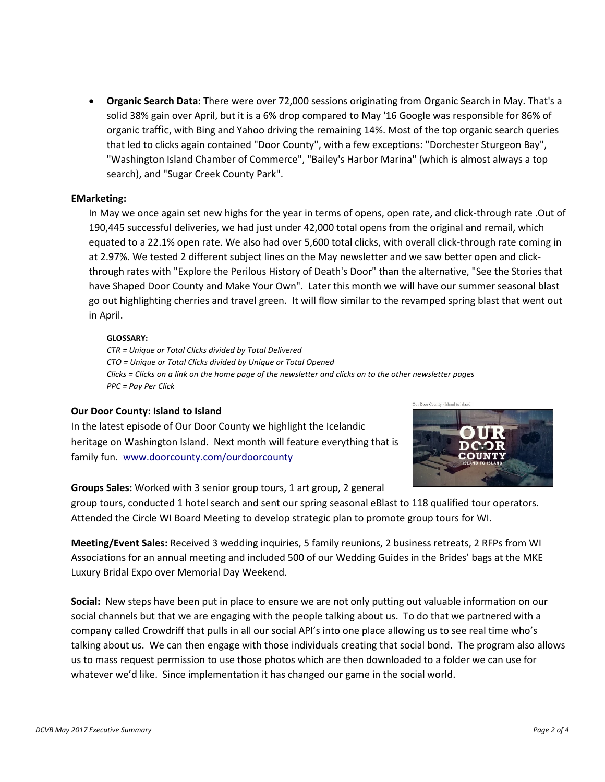• **Organic Search Data:** There were over 72,000 sessions originating from Organic Search in May. That's a solid 38% gain over April, but it is a 6% drop compared to May '16 Google was responsible for 86% of organic traffic, with Bing and Yahoo driving the remaining 14%. Most of the top organic search queries that led to clicks again contained "Door County", with a few exceptions: "Dorchester Sturgeon Bay", "Washington Island Chamber of Commerce", "Bailey's Harbor Marina" (which is almost always a top search), and "Sugar Creek County Park".

#### **EMarketing:**

In May we once again set new highs for the year in terms of opens, open rate, and click-through rate .Out of 190,445 successful deliveries, we had just under 42,000 total opens from the original and remail, which equated to a 22.1% open rate. We also had over 5,600 total clicks, with overall click-through rate coming in at 2.97%. We tested 2 different subject lines on the May newsletter and we saw better open and clickthrough rates with "Explore the Perilous History of Death's Door" than the alternative, "See the Stories that have Shaped Door County and Make Your Own". Later this month we will have our summer seasonal blast go out highlighting cherries and travel green. It will flow similar to the revamped spring blast that went out in April.

#### **GLOSSARY:**

*CTR = Unique or Total Clicks divided by Total Delivered CTO = Unique or Total Clicks divided by Unique or Total Opened Clicks = Clicks on a link on the home page of the newsletter and clicks on to the other newsletter pages PPC = Pay Per Click* 

#### **Our Door County: Island to Island**

In the latest episode of Our Door County we highlight the Icelandic heritage on Washington Island. Next month will feature everything that is family fun. [www.doorcounty.com/ourdoorcounty](http://www.doorcounty.com/ourdoorcounty)



## **Groups Sales:** Worked with 3 senior group tours, 1 art group, 2 general

group tours, conducted 1 hotel search and sent our spring seasonal eBlast to 118 qualified tour operators. Attended the Circle WI Board Meeting to develop strategic plan to promote group tours for WI.

**Meeting/Event Sales:** Received 3 wedding inquiries, 5 family reunions, 2 business retreats, 2 RFPs from WI Associations for an annual meeting and included 500 of our Wedding Guides in the Brides' bags at the MKE Luxury Bridal Expo over Memorial Day Weekend.

**Social:** New steps have been put in place to ensure we are not only putting out valuable information on our social channels but that we are engaging with the people talking about us. To do that we partnered with a company called Crowdriff that pulls in all our social API's into one place allowing us to see real time who's talking about us. We can then engage with those individuals creating that social bond. The program also allows us to mass request permission to use those photos which are then downloaded to a folder we can use for whatever we'd like. Since implementation it has changed our game in the social world.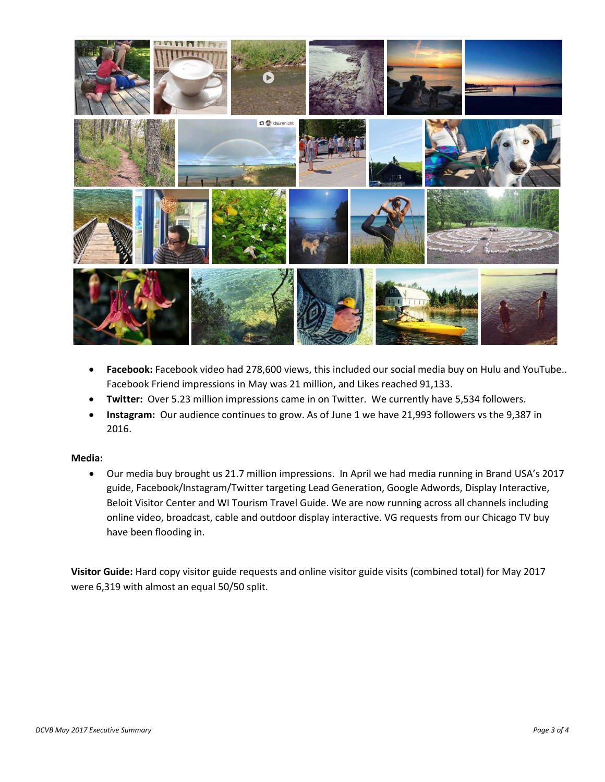

- **Facebook:** Facebook video had 278,600 views, this included our social media buy on Hulu and YouTube.. Facebook Friend impressions in May was 21 million, and Likes reached 91,133.
- **Twitter:** Over 5.23 million impressions came in on Twitter. We currently have 5,534 followers.
- **Instagram:** Our audience continues to grow. As of June 1 we have 21,993 followers vs the 9,387 in 2016.

#### **Media:**

• Our media buy brought us 21.7 million impressions. In April we had media running in Brand USA's 2017 guide, Facebook/Instagram/Twitter targeting Lead Generation, Google Adwords, Display Interactive, Beloit Visitor Center and WI Tourism Travel Guide. We are now running across all channels including online video, broadcast, cable and outdoor display interactive. VG requests from our Chicago TV buy have been flooding in.

**Visitor Guide:** Hard copy visitor guide requests and online visitor guide visits (combined total) for May 2017 were 6,319 with almost an equal 50/50 split.